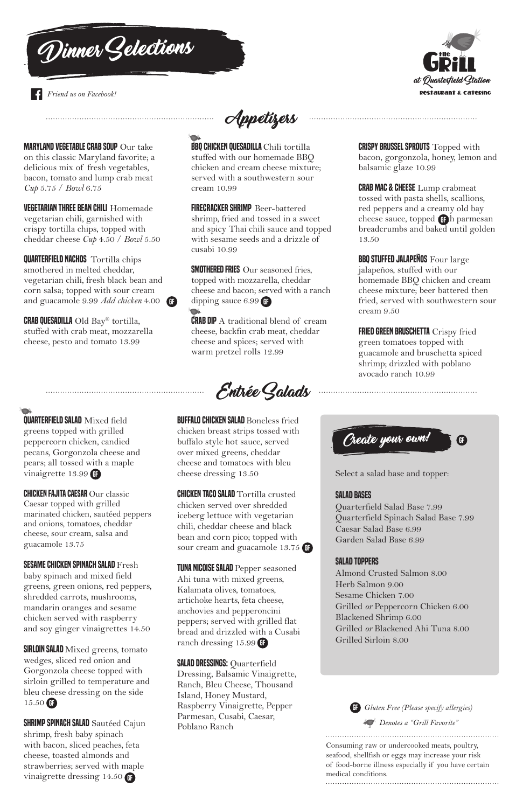# MARYLAND VEGETABLE CRAB SOUP Our take

on this classic Maryland favorite; a delicious mix of fresh vegetables, bacon, tomato and lump crab meat *Cup* 5.75 / *Bowl* 6.75

VEGETARIAN THREE BEAN CHILI Homemade vegetarian chili, garnished with crispy tortilla chips, topped with cheddar cheese *Cup* 4.50 / *Bowl* 5.50 **BBQ CHICKEN QUESADILLA** Chili tortilla stuffed with our homemade BBQ chicken and cream cheese mixture; served with a southwestern sour cream 10.99

QUARTERFIELD NACHOS Tortilla chips smothered in melted cheddar, vegetarian chili, fresh black bean and corn salsa; topped with sour cream and guacamole 9.99 *Add chicken* 4.00

SMOTHERED FRIES Our seasoned fries, topped with mozzarella, cheddar cheese and bacon; served with a ranch GF dipping sauce 6.99 GF

CRAB QUESADILLA Old Bay® tortilla, stuffed with crab meat, mozzarella cheese, pesto and tomato 13.99

**CRAB DIP** A traditional blend of cream cheese, backfin crab meat, cheddar cheese and spices; served with warm pretzel rolls 12.99

**CRISPY BRUSSEL SPROUTS** Topped with bacon, gorgonzola, honey, lemon and balsamic glaze 10.99

**CRAB MAC & CHEESE** Lump crabmeat tossed with pasta shells, scallions, red peppers and a creamy old bay cheese sauce, topped GFh parmesan breadcrumbs and baked until golden 13.50

**BBQ STUFFED JALAPENOS** Four large jalapeños, stuffed with our homemade BBQ chicken and cream cheese mixture; beer battered then fried, served with southwestern sour cream 9.50

FIRECRACKER SHRIMP Beer-battered shrimp, fried and tossed in a sweet and spicy Thai chili sauce and topped with sesame seeds and a drizzle of cusabi 10.99

> FRIED GREEN BRUSCHETTA Crispy fried green tomatoes topped with guacamole and bruschetta spiced shrimp; drizzled with poblano avocado ranch 10.99

**SESAME CHICKEN SPINACH SALAD Fresh** baby spinach and mixed field greens, green onions, red peppers, shredded carrots, mushrooms, mandarin oranges and sesame chicken served with raspberry and soy ginger vinaigrettes 14.50

**BUFFALO CHICKEN SALAD Boneless fried** chicken breast strips tossed with buffalo style hot sauce, served over mixed greens, cheddar cheese and tomatoes with bleu cheese dressing 13.50

**CHICKEN TACO SALAD** Tortilla crusted chicken served over shredded iceberg lettuce with vegetarian chili, cheddar cheese and black bean and corn pico; topped with sour cream and guacamole 13.75 GF

TUNA NICOISE SALAD Pepper seasoned Ahi tuna with mixed greens, Kalamata olives, tomatoes, artichoke hearts, feta cheese, anchovies and pepperoncini peppers; served with grilled flat bread and drizzled with a Cusabi ranch dressing 15.99 GF

**SALAD DRESSINGS: Quarterfield** Dressing, Balsamic Vinaigrette, Ranch, Bleu Cheese, Thousand Island, Honey Mustard, Raspberry Vinaigrette, Pepper Parmesan, Cusabi, Caesar, Poblano Ranch

CHICKEN FAJITA CAESAR Our classic Caesar topped with grilled marinated chicken, sautéed peppers and onions, tomatoes, cheddar cheese, sour cream, salsa and guacamole 13.75

QUARTERFIELD SALAD Mixed field greens topped with grilled peppercorn chicken, candied pecans, Gorgonzola cheese and pears; all tossed with a maple vinaigrette 13.99 GF

 $\qquad \qquad$ 

Select a salad base and topper:

# SALAD BASES

Quarterfield Salad Base 7.99 Quarterfield Spinach Salad Base 7.99 Caesar Salad Base 6.99 Garden Salad Base 6.99

## SALAD TOPPERS

Almond Crusted Salmon 8.00 Herb Salmon 9.00 Sesame Chicken 7.00 Grilled *or* Peppercorn Chicken 6.00 Blackened Shrimp 6.00 Grilled *or* Blackened Ahi Tuna 8.00 Grilled Sirloin 8.00

**SIRLOIN SALAD** Mixed greens, tomato wedges, sliced red onion and Gorgonzola cheese topped with sirloin grilled to temperature and bleu cheese dressing on the side 15.50 GF

**SHRIMP SPINACH SALAD** Sautéed Cajun shrimp, fresh baby spinach with bacon, sliced peaches, feta cheese, toasted almonds and strawberries; served with maple vinaigrette dressing 14.50 G



Entrée Salads

Dinner Gelections



### *Friend us on Facebook!*



Consuming raw or undercooked meats, poultry, seafood, shellfish or eggs may increase your risk of food-borne illness especially if you have certain medical conditions. 



*Denotes a "Grill Favorite"* 

GF *Gluten Free (Please specify allergies)*